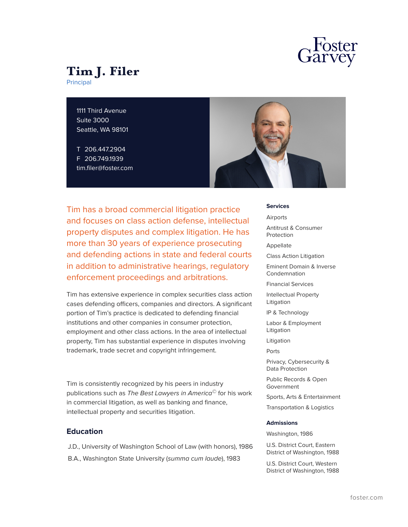

# **Tim J. Filer**

Principal

1111 Third Avenue Suite 3000 Seattle, WA 98101

T 206.447.2904 F 206.749.1939 tim.filer@foster.com



Tim has a broad commercial litigation practice and focuses on class action defense, intellectual property disputes and complex litigation. He has more than 30 years of experience prosecuting and defending actions in state and federal courts in addition to administrative hearings, regulatory enforcement proceedings and arbitrations.

Tim has extensive experience in complex securities class action cases defending officers, companies and directors. A significant portion of Tim's practice is dedicated to defending financial institutions and other companies in consumer protection, employment and other class actions. In the area of intellectual property, Tim has substantial experience in disputes involving trademark, trade secret and copyright infringement.

Tim is consistently recognized by his peers in industry publications such as *The Best Lawyers in America©* for his work in commercial litigation, as well as banking and finance, intellectual property and securities litigation.

# **Education**

J.D., University of Washington School of Law (with honors), 1986

B.A., Washington State University (*summa cum laude*), 1983

**Services**

Airports

Antitrust & Consumer Protection

Appellate

Class Action Litigation

Eminent Domain & Inverse Condemnation

Financial Services

Intellectual Property Litigation

IP & Technology

Labor & Employment Litigation

Litigation

Ports

Privacy, Cybersecurity & Data Protection

Public Records & Open Government

Sports, Arts & Entertainment

Transportation & Logistics

#### **Admissions**

Washington, 1986

U.S. District Court, Eastern District of Washington, 1988

U.S. District Court, Western District of Washington, 1988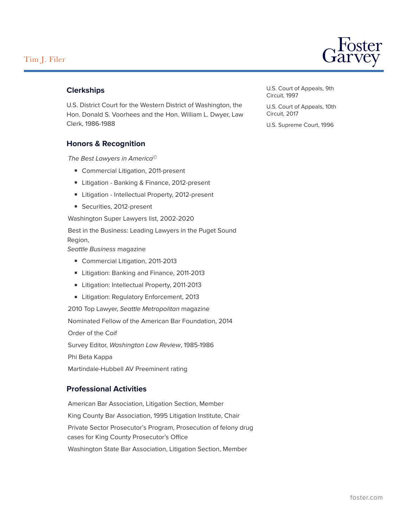

# **Clerkships**

U.S. District Court for the Western District of Washington, the Hon. Donald S. Voorhees and the Hon. William L. Dwyer, Law Clerk, 1986-1988

# **Honors & Recognition**

*The Best Lawyers in America©*

- Commercial Litigation, 2011-present
- Litigation Banking & Finance, 2012-present
- Litigation Intellectual Property, 2012-present
- Securities, 2012-present

Washington Super Lawyers list, 2002-2020

Best in the Business: Leading Lawyers in the Puget Sound Region,

*Seattle Business* magazine

- Commercial Litigation, 2011-2013
- Litigation: Banking and Finance, 2011-2013
- Litigation: Intellectual Property, 2011-2013
- Litigation: Regulatory Enforcement, 2013

2010 Top Lawyer, *Seattle Metropolitan* magazine

Nominated Fellow of the American Bar Foundation, 2014

Order of the Coif

Survey Editor, *Washington Law Review*, 1985-1986

Phi Beta Kappa

Martindale-Hubbell AV Preeminent rating

# **Professional Activities**

American Bar Association, Litigation Section, Member King County Bar Association, 1995 Litigation Institute, Chair Private Sector Prosecutor's Program, Prosecution of felony drug cases for King County Prosecutor's Office Washington State Bar Association, Litigation Section, Member

U.S. Court of Appeals, 9th Circuit, 1997

U.S. Court of Appeals, 10th Circuit, 2017

U.S. Supreme Court, 1996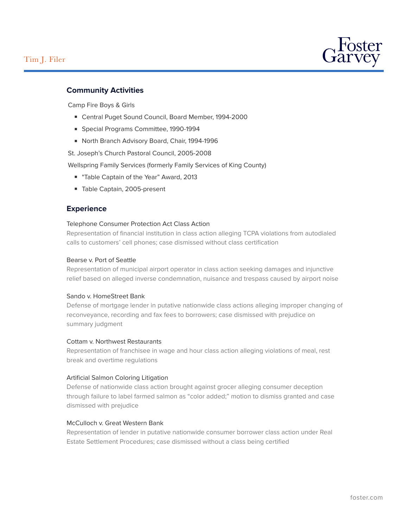

# **Community Activities**

Camp Fire Boys & Girls

- Central Puget Sound Council, Board Member, 1994-2000
- Special Programs Committee, 1990-1994
- North Branch Advisory Board, Chair, 1994-1996

St. Joseph's Church Pastoral Council, 2005-2008

Wellspring Family Services (formerly Family Services of King County)

- "Table Captain of the Year" Award, 2013
- Table Captain, 2005-present

# **Experience**

#### Telephone Consumer Protection Act Class Action

Representation of financial institution in class action alleging TCPA violations from autodialed calls to customers' cell phones; case dismissed without class certification

# Bearse v. Port of Seattle

Representation of municipal airport operator in class action seeking damages and injunctive relief based on alleged inverse condemnation, nuisance and trespass caused by airport noise

#### Sando v. HomeStreet Bank

Defense of mortgage lender in putative nationwide class actions alleging improper changing of reconveyance, recording and fax fees to borrowers; case dismissed with prejudice on summary judgment

#### Cottam v. Northwest Restaurants

Representation of franchisee in wage and hour class action alleging violations of meal, rest break and overtime regulations

#### Artificial Salmon Coloring Litigation

Defense of nationwide class action brought against grocer alleging consumer deception through failure to label farmed salmon as "color added;" motion to dismiss granted and case dismissed with prejudice

#### McCulloch v. Great Western Bank

Representation of lender in putative nationwide consumer borrower class action under Real Estate Settlement Procedures; case dismissed without a class being certified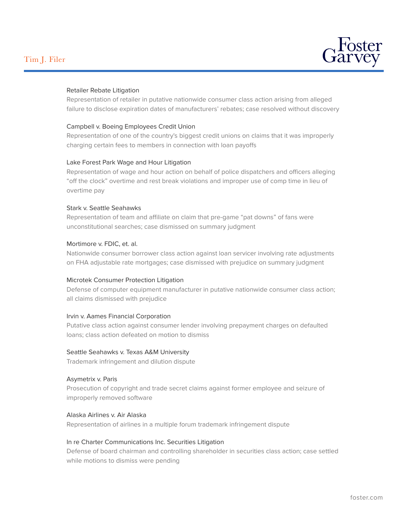

# Retailer Rebate Litigation

Representation of retailer in putative nationwide consumer class action arising from alleged failure to disclose expiration dates of manufacturers' rebates; case resolved without discovery

#### Campbell v. Boeing Employees Credit Union

Representation of one of the country's biggest credit unions on claims that it was improperly charging certain fees to members in connection with loan payoffs

# Lake Forest Park Wage and Hour Litigation

Representation of wage and hour action on behalf of police dispatchers and officers alleging "off the clock" overtime and rest break violations and improper use of comp time in lieu of overtime pay

#### Stark v. Seattle Seahawks

Representation of team and affiliate on claim that pre-game "pat downs" of fans were unconstitutional searches; case dismissed on summary judgment

# Mortimore v. FDIC, et. al.

Nationwide consumer borrower class action against loan servicer involving rate adjustments on FHA adjustable rate mortgages; case dismissed with prejudice on summary judgment

#### Microtek Consumer Protection Litigation

Defense of computer equipment manufacturer in putative nationwide consumer class action; all claims dismissed with prejudice

#### Irvin v. Aames Financial Corporation

Putative class action against consumer lender involving prepayment charges on defaulted loans; class action defeated on motion to dismiss

#### Seattle Seahawks v. Texas A&M University

Trademark infringement and dilution dispute

#### Asymetrix v. Paris

Prosecution of copyright and trade secret claims against former employee and seizure of improperly removed software

#### Alaska Airlines v. Air Alaska

Representation of airlines in a multiple forum trademark infringement dispute

#### In re Charter Communications Inc. Securities Litigation

Defense of board chairman and controlling shareholder in securities class action; case settled while motions to dismiss were pending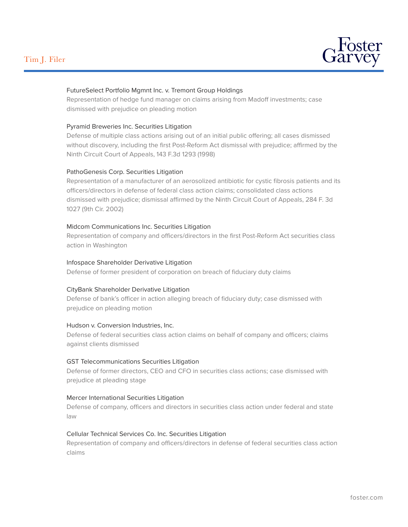# Tim J. Filer



# FutureSelect Portfolio Mgmnt Inc. v. Tremont Group Holdings

Representation of hedge fund manager on claims arising from Madoff investments; case dismissed with prejudice on pleading motion

#### Pyramid Breweries Inc. Securities Litigation

Defense of multiple class actions arising out of an initial public offering; all cases dismissed without discovery, including the first Post-Reform Act dismissal with prejudice; affirmed by the Ninth Circuit Court of Appeals, 143 F.3d 1293 (1998)

#### PathoGenesis Corp. Securities Litigation

Representation of a manufacturer of an aerosolized antibiotic for cystic fibrosis patients and its officers/directors in defense of federal class action claims; consolidated class actions dismissed with prejudice; dismissal affirmed by the Ninth Circuit Court of Appeals, 284 F. 3d 1027 (9th Cir. 2002)

#### Midcom Communications Inc. Securities Litigation

Representation of company and officers/directors in the first Post-Reform Act securities class action in Washington

#### Infospace Shareholder Derivative Litigation

Defense of former president of corporation on breach of fiduciary duty claims

### CityBank Shareholder Derivative Litigation

Defense of bank's officer in action alleging breach of fiduciary duty; case dismissed with prejudice on pleading motion

#### Hudson v. Conversion Industries, Inc.

Defense of federal securities class action claims on behalf of company and officers; claims against clients dismissed

#### GST Telecommunications Securities Litigation

Defense of former directors, CEO and CFO in securities class actions; case dismissed with prejudice at pleading stage

#### Mercer International Securities Litigation

Defense of company, officers and directors in securities class action under federal and state law

#### Cellular Technical Services Co. Inc. Securities Litigation

Representation of company and officers/directors in defense of federal securities class action claims